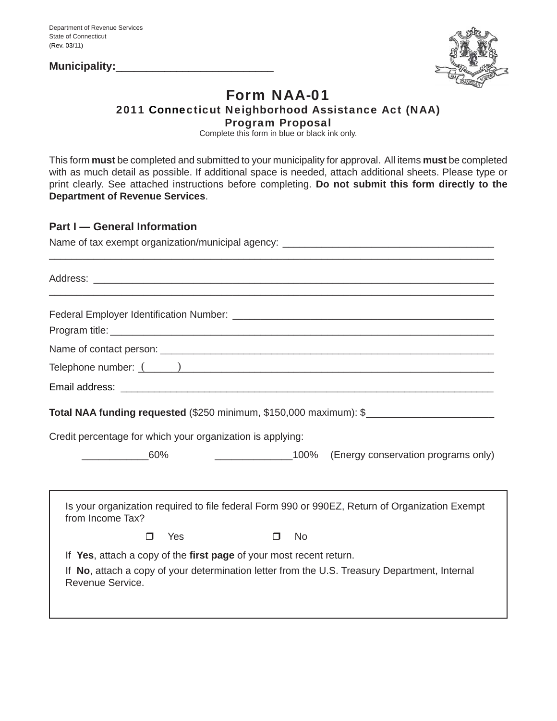**Municipality:**\_\_\_\_\_\_\_\_\_\_\_\_\_\_\_\_\_\_\_\_\_\_\_\_\_\_



# Form NAA-01 2011 Connecticut Neighborhood Assistance Act (NAA) Program Proposal

Complete this form in blue or black ink only.

This form **must** be completed and submitted to your municipality for approval. All items **must** be completed with as much detail as possible. If additional space is needed, attach additional sheets. Please type or print clearly. See attached instructions before completing. **Do not submit this form directly to the Department of Revenue Services**.

## **Part I — General Information**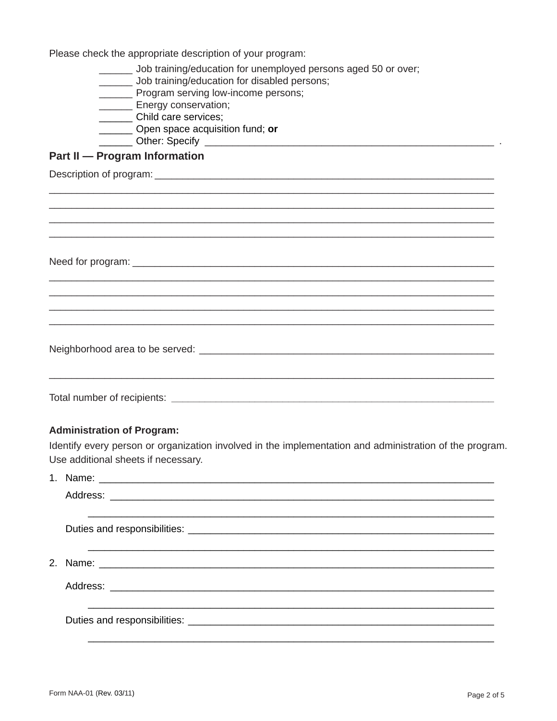Please check the appropriate description of your program:

- \_\_\_\_ Job training/education for unemployed persons aged 50 or over;
- \_\_\_\_\_\_ Job training/education for disabled persons;
- \_\_\_\_\_\_\_\_ Program serving low-income persons;
- Energy conservation;
- \_\_\_\_\_\_\_\_ Child care services;
- Open space acquisition fund; or
- \_\_\_\_\_\_\_\_ Other: Specify \_

# **Part II - Program Information**

## **Administration of Program:**

Identify every person or organization involved in the implementation and administration of the program. Use additional sheets if necessary.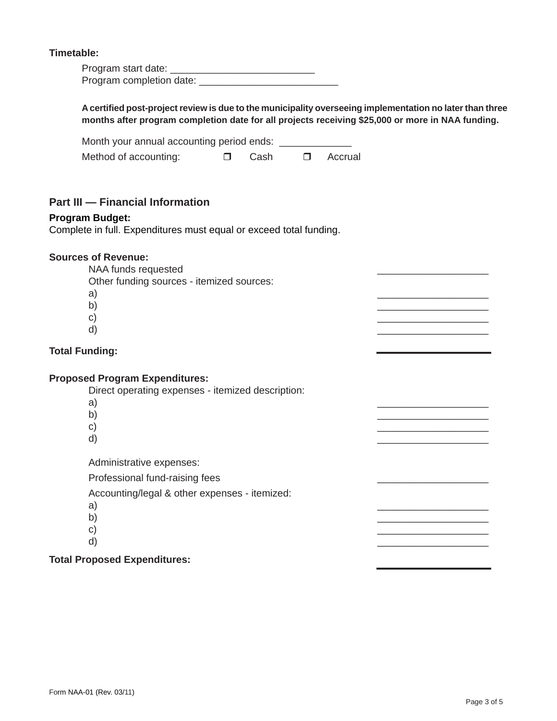#### **Timetable:**

| Program start date:      |  |
|--------------------------|--|
| Program completion date: |  |

**A certifi ed post-project review is due to the municipality overseeing implementation no later than three months after program completion date for all projects receiving \$25,000 or more in NAA funding.** Month your annual accounting period ends: Method of accounting:  $\Box$  Cash  $\Box$  Accrual **Part III — Financial Information**

#### **Program Budget:**

Complete in full. Expenditures must equal or exceed total funding.

#### **Sources of Revenue:**

NAA funds requested

Other funding sources - itemized sources:

- a) \_\_\_\_\_\_\_\_\_\_\_\_\_\_\_\_\_\_\_\_
- b)  $\overline{\phantom{a}}$
- c)  $\overline{c}$ 
	- $\mathsf{d}$ )

#### **Total Funding:**

#### **Proposed Program Expenditures:**

Direct operating expenses - itemized description:

- a) \_\_\_\_\_\_\_\_\_\_\_\_\_\_\_\_\_\_\_\_
- b)  $\overline{\phantom{a}}$
- c)  $\overline{c}$
- d) \_\_\_\_\_\_\_\_\_\_\_\_\_\_\_\_\_\_\_\_

Administrative expenses:

Professional fund-raising fees

Accounting/legal & other expenses - itemized:

- a) \_\_\_\_\_\_\_\_\_\_\_\_\_\_\_\_\_\_\_\_
- b)  $\overline{\phantom{a}}$
- c)  $\overline{c}$
- $\mathsf{d}$ )

#### **Total Proposed Expenditures:**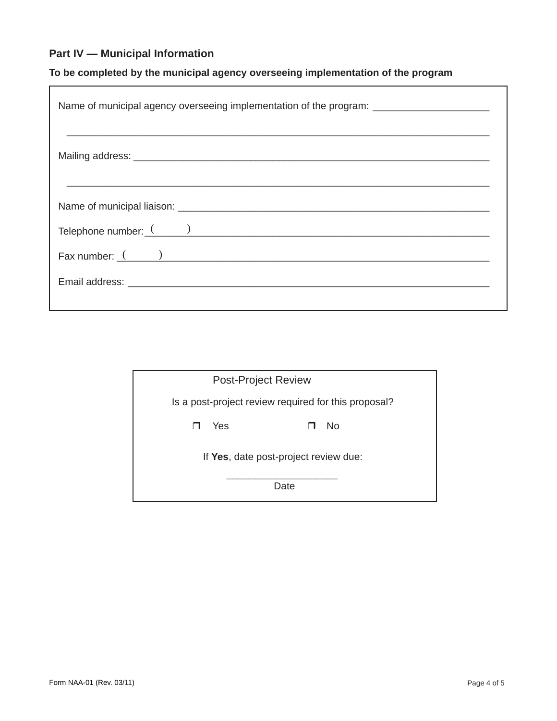# **Part IV — Municipal Information**

# **To be completed by the municipal agency overseeing implementation of the program**

| Name of municipal agency overseeing implementation of the program: _________________________________ |  |  |  |
|------------------------------------------------------------------------------------------------------|--|--|--|
|                                                                                                      |  |  |  |
|                                                                                                      |  |  |  |
|                                                                                                      |  |  |  |
| Fax number: $($ $)$                                                                                  |  |  |  |
|                                                                                                      |  |  |  |

| <b>Post-Project Review</b>                           |  |  |  |  |
|------------------------------------------------------|--|--|--|--|
| Is a post-project review required for this proposal? |  |  |  |  |
| <b>No</b><br>Yes                                     |  |  |  |  |
| If Yes, date post-project review due:                |  |  |  |  |
| Date                                                 |  |  |  |  |